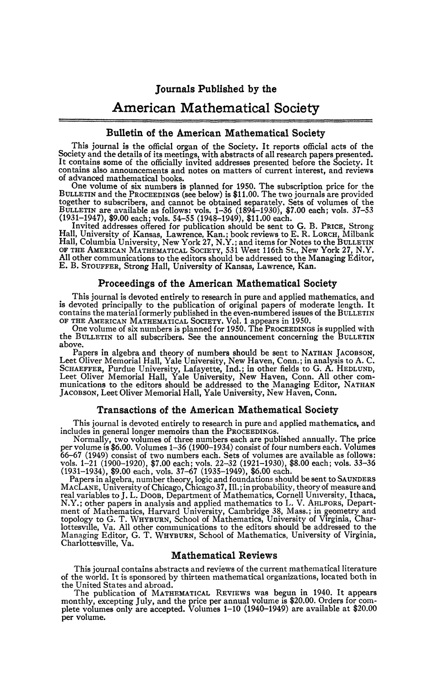# **Journals Published by the**

# American Mathematical Society

# **Bulletin of the American Mathematical Society**

This journal is the official organ of the Society. It reports official acts of the Society and the details of its meetings, with abstracts of all research papers presented.<br>It contains some of the officially invited addresses presented before the Society. It contains also announcements and notes on matters of current interest, and reviews of advanced mathematical books.

One volume of six numbers is planned for 1950. The subscription price for the BULLETIN and the PROCEEDINGS (see below) is \$11.00. The two journals are provided together to subscribers, and cannot be obtained separately. Sets of volumes of the BULLETIN are available as follows: vols.  $1-36$  (1894–1930), \$7.00 each; vols.  $37-53$  (1931–1947), \$9.00 each; vols.  $54-55$  (1948–1949),

Hall, University of Kansas, Lawrence, Kan.; book reviews to E. R. LORCH, Milbank<br>Hall, Columbia University, New York 27, N.Y.; and items for Notes to the BULLETIN<br>OF THE AMERICAN MATHEMATICAL SOCIETY, 531 West 116th St., N E. B. STOUFFER, Strong Hall, University of Kansas, Lawrence, Kan.

#### **Proceedings of the American Mathematical Society**

This journal is devoted entirely to research in pure and applied mathematics, and is devoted principally to the publication of original papers of moderate length. It contains the material formerly published in the even-numbered issues of the BULLETIN

OF THE AMERICAN MATHEMATICAL SOCIETY» Vol. 1 appears in 1950. One volume of six numbers is planned for 1950. The PROCEEDINGS is supplied with the BULLETIN to all subscribers. See the announcement concerning the BULLETIN above.

Papers in algebra and theory of numbers should be sent to NATHAN JACOBSON,<br>Leet Oliver Memorial Hall, Yale University, New Haven, Conn.; in analysis to A. C.<br>SCHAEFFER, Purdue University, Lafayette, Ind.; in other fields t JACOBSON, Leet Oliver Memorial Hall, Yale University, New Haven, Conn.

#### **Transactions of the American Mathematical Society**

This journal is devoted entirely to research in pure and applied mathematics, and includes in general longer memoirs than the PROCEEDINGS.

Normally, two volumes of three numbers each are published annually. The price per volume is \$6.00. Volumes 1-36 (1900-1934) consist of four numbers each. Volumes 66–67 (1949) consist of two numbers each. Sets of volumes are available as follows:<br>vols. 1–21 (1900–1920), \$7.00 each; vols. 22–32 (1921–1930), \$8.00 each; vols. 33–36<br>(1931–1934), \$9.00 each, vols. 37–67 (1935–1949), \$6.

Papers in algebra, number theory, logic and foundations should be sent to SAUNDERS MACLANE, University of Chicago, Chicago 37, 111. ; in probability, theory of measure and real variables to J. L. Doos, Department of Mathematics, Cornell University, Ithaca, N.Y.; other papers in analysis and applied mathematics to L. V. AHLFORS, Department of Mathematics, Harvard University, Cambridge 38, Mas Charlottesville, Va.

#### **Mathematical Reviews**

This journal contains abstracts and reviews of the current mathematical literature of the world. It is sponsored by thirteen mathematical organizations, located both in the United States and abroad.

The publication of MATHEMATICAL REVIEWS was begun in 1940. It appears monthly, excepting July, and the price per annual volume is \$20,00. Orders for complete volumes only are accepted. Volumes 1-10 (1940-1949) are available at \$20.00 per volume.